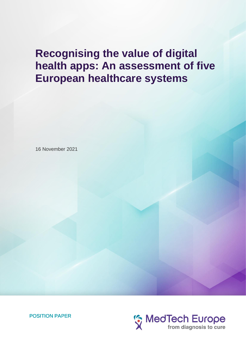# **Recognising the value of digital health apps: An assessment of five European healthcare systems**

16 November 2021



POSITION PAPER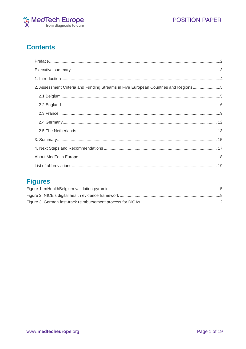



# **Contents**

| 2. Assessment Criteria and Funding Streams in Five European Countries and Regions5 |  |
|------------------------------------------------------------------------------------|--|
|                                                                                    |  |
|                                                                                    |  |
|                                                                                    |  |
|                                                                                    |  |
|                                                                                    |  |
|                                                                                    |  |
|                                                                                    |  |
|                                                                                    |  |
|                                                                                    |  |

# **Figures**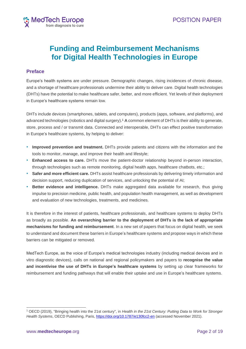

# **Funding and Reimbursement Mechanisms for Digital Health Technologies in Europe**

### <span id="page-2-0"></span>**Preface**

Europe's health systems are under pressure. Demographic changes, rising incidences of chronic disease, and a shortage of healthcare professionals undermine their ability to deliver care. Digital health technologies (DHTs) have the potential to make healthcare safer, better, and more efficient. Yet levels of their deployment in Europe's healthcare systems remain low.

DHTs include devices (smartphones, tablets, and computers), products (apps, software, and platforms), and advanced technologies (robotics and digital surgery). <sup>1</sup> A common element of DHTs is their ability to generate, store, process and / or transmit data. Connected and interoperable, DHTs can effect positive transformation in Europe's healthcare systems, by helping to deliver:

- **Improved prevention and treatment.** DHTs provide patients and citizens with the information and the tools to monitor, manage, and improve their health and lifestyle;
- **Enhanced access to care.** DHTs move the patient-doctor relationship beyond in-person interaction, through technologies such as remote monitoring, digital health apps, healthcare chatbots, etc.;
- **Safer and more efficient care.** DHTs assist healthcare professionals by delivering timely information and decision support, reducing duplication of services, and unlocking the potential of AI;
- **Better evidence and intelligence.** DHTs make aggregated data available for research, thus giving impulse to precision medicine, public health, and population health management, as well as development and evaluation of new technologies, treatments, and medicines.

It is therefore in the interest of patients, healthcare professionals, and healthcare systems to deploy DHTs as broadly as possible. **An overarching barrier to the deployment of DHTs is the lack of appropriate mechanisms for funding and reimbursement**. In a new set of papers that focus on digital health, we seek to understand and document these barriers in Europe's healthcare systems and propose ways in which these barriers can be mitigated or removed.

MedTech Europe, as the voice of Europe's medical technologies industry (including medical devices and in vitro diagnostic devices), calls on national and regional policymakers and payers to **recognise the value and incentivise the use of DHTs in Europe's healthcare systems** by setting up clear frameworks for reimbursement and funding pathways that will enable their uptake and use in Europe's healthcare systems.

<sup>1</sup> OECD (2019), "Bringing health into the 21st century", in *Health in the 21st Century: Putting Data to Work for Stronger Health Systems*, OECD Publishing, Paris, <https://doi.org/10.1787/e130fcc2-en> (accessed November 2021).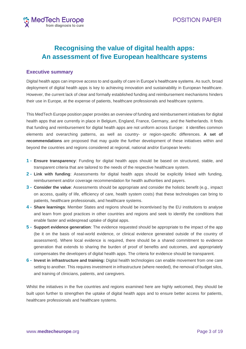

# **Recognising the value of digital health apps: An assessment of five European healthcare systems**

### <span id="page-3-0"></span>**Executive summary**

Digital health apps can improve access to and quality of care in Europe's healthcare systems. As such, broad deployment of digital health apps is key to achieving innovation and sustainability in European healthcare. However, the current lack of clear and formally established funding and reimbursement mechanisms hinders their use in Europe, at the expense of patients, healthcare professionals and healthcare systems.

This MedTech Europe position paper provides an overview of funding and reimbursement initiatives for digital health apps that are currently in place in Belgium, England, France, Germany, and the Netherlands. It finds that funding and reimbursement for digital health apps are not uniform across Europe: it identifies common elements and overarching patterns, as well as country- or region-specific differences. **A set of recommendations** are proposed that may guide the further development of these initiatives within and beyond the countries and regions considered at regional, national and/or European levels**:**

- **1 - Ensure transparency**: Funding for digital health apps should be based on structured, stable, and transparent criteria that are tailored to the needs of the respective healthcare system.
- **2 - Link with funding**: Assessments for digital health apps should be explicitly linked with funding, reimbursement and/or coverage recommendation for health authorities and payers.
- **3 - Consider the value**: Assessments should be appropriate and consider the holistic benefit (e.g., impact on access, quality of life, efficiency of care, health system costs) that these technologies can bring to patients, healthcare professionals, and healthcare systems.
- **4 - Share learnings**: Member States and regions should be incentivised by the EU institutions to analyse and learn from good practices in other countries and regions and seek to identify the conditions that enable faster and widespread uptake of digital apps.
- **5 - Support evidence generation**: The evidence requested should be appropriate to the impact of the app (be it on the basis of real-world evidence, or clinical evidence generated outside of the country of assessment). Where local evidence is required, there should be a shared commitment to evidence generation that extends to sharing the burden of proof of benefits and outcomes, and appropriately compensates the developers of digital health apps. The criteria for evidence should be transparent.
- **6 - Invest in infrastructure and training:** Digital health technologies can enable movement from one care setting to another. This requires investment in infrastructure (where needed), the removal of budget silos, and training of clinicians, patients, and caregivers.

Whilst the initiatives in the five countries and regions examined here are highly welcomed, they should be built upon further to strengthen the uptake of digital health apps and to ensure better access for patients, healthcare professionals and healthcare systems.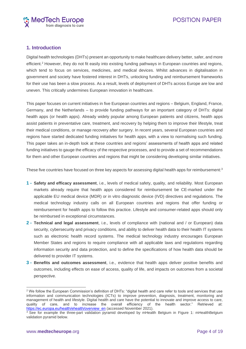

### <span id="page-4-0"></span>**1. Introduction**

Digital health technologies (DHTs) present an opportunity to make healthcare delivery better, safer, and more efficient.<sup>2</sup> However, they do not fit easily into existing funding pathways in European countries and regions, which tend to focus on services, medicines, and medical devices. Whilst advances in digitalisation in government and society have fostered interest in DHTs, unlocking funding and reimbursement frameworks for their use has been a slow process. As a result, levels of deployment of DHTs across Europe are low and uneven. This critically undermines European innovation in healthcare.

This paper focuses on current initiatives in five European countries and regions – Belgium, England, France, Germany, and the Netherlands – to provide funding pathways for an important category of DHTs: digital health apps (or health apps). Already widely popular among European patients and citizens, health apps assist patients in preventative care, treatment, and recovery by helping them to improve their lifestyle, treat their medical conditions, or manage recovery after surgery. In recent years, several European countries and regions have started dedicated funding initiatives for health apps, with a view to normalising such funding. This paper takes an in-depth look at these countries and regions' assessments of health apps and related funding initiatives to gauge the efficacy of the respective processes, and to provide a set of recommendations for them and other European countries and regions that might be considering developing similar initiatives.

These five countries have focused on three key aspects for assessing digital health apps for reimbursement:<sup>3</sup>

- **1 - Safety and efficacy assessment**, i.e., levels of medical safety, quality, and reliability. Most European markets already require that health apps considered for reimbursement be CE-marked under the applicable EU medical device (MDR) or in vitro diagnostic device (IVD) directives and regulations. The medical technology industry calls on all European countries and regions that offer funding or reimbursement for health apps to follow this practice. Lifestyle and consumer-related apps should only be reimbursed in exceptional circumstances.
- **2 - Technical and legal assessment**, i.e., levels of compliance with (national and / or European) data security, cybersecurity and privacy conditions, and ability to deliver health data to their health IT systems such as electronic health record systems. The medical technology industry encourages European Member States and regions to require compliance with all applicable laws and regulations regarding information security and data protection, and to define the specifications of how health data should be delivered to provider IT systems.
- **3 - Benefits and outcomes assessment**, i.e., evidence that health apps deliver positive benefits and outcomes, including effects on ease of access, quality of life, and impacts on outcomes from a societal perspective.

<sup>&</sup>lt;sup>2</sup> We follow the European Commission's definition of DHTs: "digital health and care refer to tools and services that use information and communication technologies (ICTs) to improve prevention, diagnosis, treatment, monitoring and management of health and lifestyle. Digital health and care have the potential to innovate and improve access to care, quality of care, and to increase the overall efficiency of the health sector." Retrieved at: [https://ec.europa.eu/health/ehealth/overview\\_en](https://ec.europa.eu/health/ehealth/overview_en) (accessed November 2021).

<sup>&</sup>lt;sup>3</sup> See for example the three-part validation pyramid developed by mHealth Belgium in Figure 1: mHealthBelgium [validation pyramid b](#page-5-2)elow.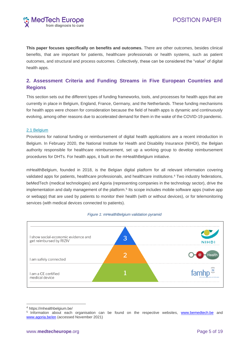

**This paper focuses specifically on benefits and outcomes.** There are other outcomes, besides clinical benefits, that are important for patients, healthcare professionals or health systems, such as patient outcomes, and structural and process outcomes. Collectively, these can be considered the "value" of digital health apps.

## <span id="page-5-0"></span>**2. Assessment Criteria and Funding Streams in Five European Countries and Regions**

This section sets out the different types of funding frameworks, tools, and processes for health apps that are currently in place in Belgium, England, France, Germany, and the Netherlands. These funding mechanisms for health apps were chosen for consideration because the field of health apps is dynamic and continuously evolving, among other reasons due to accelerated demand for them in the wake of the COVID-19 pandemic.

### <span id="page-5-1"></span>2.1 Belgium

Provisions for national funding or reimbursement of digital health applications are a recent introduction in Belgium. In February 2020, the National Institute for Health and Disability Insurance (NIHDI), the Belgian authority responsible for healthcare reimbursement, set up a working group to develop reimbursement procedures for DHTs. For health apps, it built on the mHealthBelgium initiative.

mHealthBelgium, founded in 2018, is the Belgian digital platform for all relevant information covering validated apps for patients, healthcare professionals, and healthcare institutions. <sup>4</sup> Two industry federations, beMedTech (medical technologies) and Agoria (representing companies in the technology sector), drive the implementation and daily management of the platform.<sup>5</sup> Its scope includes mobile software apps (native app or webapp) that are used by patients to monitor their health (with or without devices), or for telemonitoring services (with medical devices connected to patients).

<span id="page-5-2"></span>

#### *Figure 1: mHealthBelgium validation pyramid*

<sup>4</sup> https://mhealthbelgium.be/

<sup>&</sup>lt;sup>5</sup> Information about each organisation can be found on the respective websites, [www.bemedtech.be](http://www.bemedtech.be/) and [www.agoria.be/en](https://www.agoria.be/en) (accessed November 2021)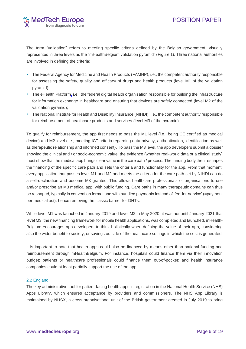The term "validation" refers to meeting specific criteria defined by the Belgian government, visually represented in three levels as the "mHealthBelgium validation pyramid" [\(Figure 1\)](#page-5-2). Three national authorities are involved in defining the criteria:

- The Federal Agency for Medicine and Health Products (FAMHP), i.e., the competent authority responsible for assessing the safety, quality and efficacy of drugs and health products (level M1 of the validation pyramid);
- The eHealth Platform, i.e., the federal digital health organisation responsible for building the infrastructure for information exchange in healthcare and ensuring that devices are safely connected (level M2 of the validation pyramid);
- The National Institute for Health and Disability Insurance (NIHDI), i.e., the competent authority responsible for reimbursement of healthcare products and services (level M3 of the pyramid).

To qualify for reimbursement, the app first needs to pass the M1 level (i.e., being CE certified as medical device) and M2 level (i.e., meeting ICT criteria regarding data privacy, authentication, identification as well as therapeutic relationship and informed consent). To pass the M3 level, the app developers submit a dossier showing the clinical and / or socio-economic value: the evidence (whether real-world data or a clinical study) must show that the medical app brings clear value in the care path / process. The funding body then reshapes the financing of the specific care path and sets the criteria and functionality for the app. From that moment, every application that passes level M1 and M2 and meets the criteria for the care path set by NIHDI can do a self-declaration and become M3 granted. This allows healthcare professionals or organisations to use and/or prescribe an M3 medical app, with public funding. Care paths in many therapeutic domains can thus be reshaped, typically in convention format and with bundled payments instead of 'fee-for-service' (=payment per medical act), hence removing the classic barrier for DHTs.

While level M1 was launched in January 2019 and level M2 in May 2020, it was not until January 2021 that level M3, the new financing framework for mobile health applications, was completed and launched. mHealth-Belgium encourages app developers to think holistically when defining the value of their app, considering also the wider benefit to society, or savings outside of the healthcare settings in which the cost is generated.

It is important to note that health apps could also be financed by means other than national funding and reimbursement through mHealthBelgium. For instance, hospitals could finance them via their innovation budget; patients or healthcare professionals could finance them out-of-pocket; and health insurance companies could at least partially support the use of the app.

### <span id="page-6-0"></span>2.2 England

The key administrative tool for patient-facing health apps is registration in the National Health Service (NHS) Apps Library, which ensures acceptance by providers and commissioners. The NHS App Library is maintained by NHSX, a cross-organisational unit of the British government created in July 2019 to bring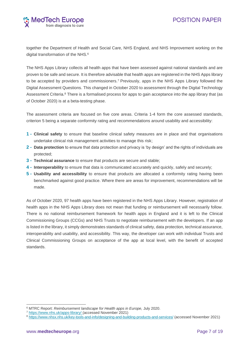together the Department of Health and Social Care, NHS England, and NHS Improvement working on the digital transformation of the NHS. 6

The NHS Apps Library collects all health apps that have been assessed against national standards and are proven to be safe and secure. It is therefore advisable that health apps are registered in the NHS Apps library to be accepted by providers and commissioners.<sup>7</sup> Previously, apps in the NHS Apps Library followed the Digital Assessment Questions. This changed in October 2020 to assessment through the Digital Technology Assessment Criteria.<sup>8</sup> There is a formalised process for apps to gain acceptance into the app library that (as of October 2020) is at a beta-testing phase.

The assessment criteria are focused on five core areas. Criteria 1-4 form the core assessed standards, criterion 5 being a separate conformity rating and recommendations around usability and accessibility:

- **1 - Clinical safety** to ensure that baseline clinical safety measures are in place and that organisations undertake clinical risk management activities to manage this risk;
- **2 - Data protection** to ensure that data protection and privacy is 'by design' and the rights of individuals are protected;
- **3 - Technical assurance** to ensure that products are secure and stable;
- **4 - Interoperability** to ensure that data is communicated accurately and quickly, safely and securely;
- **5 - Usability and accessibility** to ensure that products are allocated a conformity rating having been benchmarked against good practice. Where there are areas for improvement, recommendations will be made.

As of October 2020, 97 health apps have been registered in the NHS Apps Library. However, registration of health apps in the NHS Apps Library does not mean that funding or reimbursement will necessarily follow. There is no national reimbursement framework for health apps in England and it is left to the Clinical Commissioning Groups (CCGs) and NHS Trusts to negotiate reimbursement with the developers. If an app is listed in the library, it simply demonstrates standards of clinical safety, data protection, technical assurance, interoperability and usability, and accessibility. This way, the developer can work with individual Trusts and Clinical Commissioning Groups on acceptance of the app at local level, with the benefit of accepted standards.

<sup>6</sup> MTRC Report: *Reimbursement landscape for Health apps in Europe,* July 2020.

<sup>7</sup> <https://www.nhs.uk/apps-library/> (accessed November 2021)

<sup>8</sup> <https://www.nhsx.nhs.uk/key-tools-and-info/designing-and-building-products-and-services/> (accessed November 2021)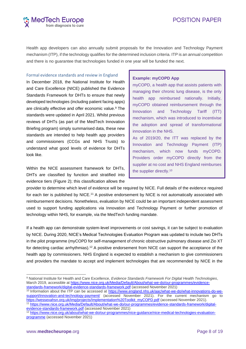# **POSITION PAPER**



Health app developers can also annually submit proposals for the Innovation and Technology Payment mechanism (ITP), if the technology qualifies for the determined inclusion criteria. ITP is an annual competition and there is no guarantee that technologies funded in one year will be funded the next.

#### Formal evidence standards and review in England

In December 2018, the National Institute for Health and Care Excellence (NICE) published the Evidence Standards Framework for DHTs to ensure that newly developed technologies (including patient facing apps) are clinically effective and offer economic value.<sup>9</sup> The standards were updated in April 2021. Whilst previous reviews of DHTs (as part of the MedTech Innovation Briefing program) simply summarised data, these new standards are intended to help health app providers and commissioners (CCGs and NHS Trusts) to understand what good levels of evidence for DHTs look like.

Within the NICE assessment framework for DHTs, DHTs are classified by function and stratified into evidence tiers (Figure 2); this classification allows the

#### **Example: myCOPD App**

myCOPD, a health app that assists patients with managing their chronic lung disease, is the only health app reimbursed nationally. Initially, myCOPD obtained reimbursement through the Innovation and Technology Tariff (ITT) mechanism, which was introduced to incentivise the adoption and spread of transformational innovation in the NHS. As of 2019/20, the ITT was replaced by the Innovation and Technology Payment (ITP) mechanism, which now funds myCOPD. Providers order myCOPD directly from the supplier at no cost and NHS England reimburses the supplier directly.10

provider to determine which level of evidence will be required by NICE. Full details of the evidence required for each tier is published by NICE.<sup>11</sup> A positive endorsement by NICE is not automatically associated with reimbursement decisions. Nonetheless, evaluation by NICE could be an important independent assessment used to support funding applications via Innovation and Technology Payment or further promotion of technology within NHS, for example, via the MedTech funding mandate.

If a health app can demonstrate system-level improvements or cost savings, it can be subject to evaluation by NICE. During 2020, NICE's Medical Technologies Evaluation Program was updated to include two DHTs in the pilot programme (myCOPD for self-management of chronic obstructive pulmonary disease and Zio XT for detecting cardiac arrhythmias).<sup>12</sup> A positive endorsement from NICE can support the acceptance of the health app by commissioners. NHS England is expected to establish a mechanism to give commissioners and providers the mandate to accept and implement technologies that are recommended by NICE in the

<sup>9</sup> National Institute for Health and Care Excellence, *Evidence Standards Framework For Digital Health Technologies*, March 2019, accessible at [https://www.nice.org.uk/Media/Default/About/what-we-do/our-programmes/evidence](https://www.nice.org.uk/Media/Default/About/what-we-do/our-programmes/evidence-standards-framework/digital-evidence-standards-framework.pdf)[standards-framework/digital-evidence-standards-framework.pdf](https://www.nice.org.uk/Media/Default/About/what-we-do/our-programmes/evidence-standards-framework/digital-evidence-standards-framework.pdf) (accessed November 2021)

<sup>&</sup>lt;sup>10</sup> Information about the ITP can be accessed at [https://www.england.nhs.uk/aac/what-we-do/what-innovations-do-we](https://www.england.nhs.uk/aac/what-we-do/what-innovations-do-we-support/innovation-and-technology-payment/)[support/innovation-and-technology-payment/](https://www.england.nhs.uk/aac/what-we-do/what-innovations-do-we-support/innovation-and-technology-payment/) (accessed November 2021). For the current mechanism go to [https://wessexahsn.org.uk/img/projects/Implementation%20Toolkit\\_myCOPD.pdf](https://wessexahsn.org.uk/img/projects/Implementation%20Toolkit_myCOPD.pdf) (accessed November 2021). <sup>11</sup> [https://www.nice.org.uk/Media/Default/About/what-we-do/our-programmes/evidence-standards-framework/digital-](https://www.nice.org.uk/Media/Default/About/what-we-do/our-programmes/evidence-standards-framework/digital-evidence-standards-framework.pdf)

[evidence-standards-framework.pdf](https://www.nice.org.uk/Media/Default/About/what-we-do/our-programmes/evidence-standards-framework/digital-evidence-standards-framework.pdf) (accessed November 2021)

<sup>12</sup> [https://www.nice.org.uk/about/what-we-do/our-programmes/nice-guidance/nice-medical-technologies-evaluation](https://www.nice.org.uk/about/what-we-do/our-programmes/nice-guidance/nice-medical-technologies-evaluation-programme)[programme](https://www.nice.org.uk/about/what-we-do/our-programmes/nice-guidance/nice-medical-technologies-evaluation-programme) (accessed November 2021)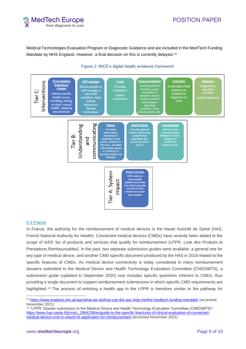# **POSITION PAPER**



Medical Technologies Evaluation Program or Diagnostic Guidance and are included in the MedTech Funding Mandate by NHS England. However, a final decision on this is currently delayed.<sup>13</sup>

<span id="page-9-1"></span>

### Figure 2: NICE's digital health evidence framework

### <span id="page-9-0"></span>2.3 France

In France, the authority for the reimbursement of medical devices is the Haute Autorité de Santé (HAS, French National Authority for Health). Connected medical devices (CMDs) have recently been added to the scope of HAS' list of products and services that qualify for reimbursement (LPPR, Liste des Produits et Prestations Remboursables). In the past, two separate submission guides were available: a general one for any type of medical device, and another CMD-specific document produced by the HAS in 2018 related to the specific features of CMDs. As medical device connectivity is today considered in many reimbursement dossiers submitted to the Medical Device and Health Technology Evaluation Committee (CNEDiMTS), a submission guide (updated in September 2020) now includes specific questions inherent to CMDs, thus providing a single document to support reimbursement submissions in which specific CMD requirements are highlighted.<sup>14</sup> The process of enlisting a health app in the LPPR is therefore similar to the pathway for

<sup>13</sup> <https://www.england.nhs.uk/aac/what-we-do/how-can-the-aac-help-me/the-medtech-funding-mandate/> (accessed November 2021)

<sup>14</sup> "LPPR: Dossier submission to the Medical Device and Health Technology Evaluation Committee (CNEDiMTS)": [https://www.has-sante.fr/jcms/c\\_2964238/en/guide-to-the-specific-feactures-of-clinical-evaluation-of-connected](https://www.has-sante.fr/jcms/c_2964238/en/guide-to-the-specific-feactures-of-clinical-evaluation-of-connected-medical-device-cmd-in-viewof-its-application-for-reimbursement)[medical-device-cmd-in-viewof-its-application-for-reimbursement](https://www.has-sante.fr/jcms/c_2964238/en/guide-to-the-specific-feactures-of-clinical-evaluation-of-connected-medical-device-cmd-in-viewof-its-application-for-reimbursement) (accessed November 2021)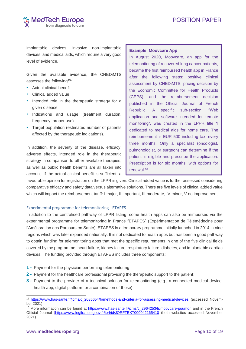

implantable devices, invasive non-implantable devices, and medical aids, which require a very good level of evidence.

Given the available evidence, the CNEDiMTS assesses the following<sup>15</sup>:

- Actual clinical benefit
- Clinical added value
- Intended role in the therapeutic strategy for a given disease
- Indications and usage (treatment duration, frequency, proper use)
- Target population (estimated number of patients affected by the therapeutic indications).

In addition, the severity of the disease, efficacy, adverse effects, intended role in the therapeutic strategy in comparison to other available therapies, as well as public health benefits are all taken into account. If the actual clinical benefit is sufficient, a

#### **Example: Moovcare App**

In August 2020, Moovcare, an app for the telemonitoring of recovered lung cancer patients, became the first reimbursed health app in France after the following steps: positive clinical assessment by CNEDiMTS, pricing decision by the Economic Committee for Health Products (CEPS), and the reimbursement decision published in the Official Journal of French Republic. A specific sub-section, "Web application and software intended for remote monitoring", was created in the LPPR title 1 dedicated to medical aids for home care. The reimbursement is EUR 500 including tax, every three months. Only a specialist (oncologist, pulmonologist, or surgeon) can determine if the patient is eligible and prescribe the application. Prescription is for six months, with options for renewal.16

favourable opinion for registration on the LPPR is given. Clinical added value is further assessed considering comparative efficacy and safety data versus alternative solutions. There are five levels of clinical added value which will impact the reimbursement tariff: I major, II important, III moderate, IV minor, V no improvement.

### Experimental programme for telemonitoring - ETAPES

In addition to the centralised pathway of LPPR listing, some health apps can also be reimbursed via the experimental programme for telemonitoring in France "ETAPES" (Expérimentation de Télémédecine pour l'Amélioration des Parcours en Santé). ETAPES is a temporary programme initially launched in 2014 in nine regions which was later expanded nationally. It is not dedicated to health apps but has been a good pathway to obtain funding for telemonitoring apps that met the specific requirements in one of the five clinical fields covered by the programme: heart failure, kidney failure, respiratory failure, diabetes, and implantable cardiac devices. The funding provided through ETAPES includes three components:

- **1 -** Payment for the physician performing telemonitoring;
- **2 -** Payment for the healthcare professional providing the therapeutic support to the patient;
- **3 -** Payment to the provider of a technical solution for telemonitoring (e.g., a connected medical device, health app, digital platform, or a combination of those).

<sup>15</sup> [https://www.has-sante.fr/jcms/c\\_2035654/fr/methods-and-criteria-for-assessing-medical-devices](https://www.has-sante.fr/jcms/c_2035654/fr/methods-and-criteria-for-assessing-medical-devices) (accessed November 2021)

<sup>&</sup>lt;sup>16</sup> More information can be found at [https://www.has-sante.fr/jcms/c\\_2964253/fr/moovcare-poumon](https://www.has-sante.fr/jcms/c_2964253/fr/moovcare-poumon) and in the French Official Journal [\(https://www.legifrance.gouv.fr/jorf/id/JORFTEXT000042165410](https://www.legifrance.gouv.fr/jorf/id/JORFTEXT000042165410) (both websites accessed November 2021).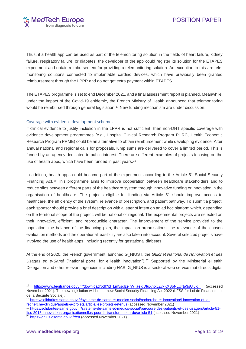

Thus, if a health app can be used as part of the telemonitoring solution in the fields of heart failure, kidney failure, respiratory failure, or diabetes, the developer of the app could register its solution for the ETAPES experiment and obtain reimbursement for providing a telemonitoring solution. An exception to this are telemonitoring solutions connected to implantable cardiac devices, which have previously been granted reimbursement through the LPPR and do not get extra payment within ETAPES.

The ETAPES programme is set to end December 2021, and a final assessment report is planned. Meanwhile, under the impact of the Covid-19 epidemic, the French Ministry of Health announced that telemonitoring would be reimbursed through general legislation.<sup>17</sup> New funding mechanism are under discussion.

### Coverage with evidence development schemes

If clinical evidence to justify inclusion in the LPPR is not sufficient, then non-DHT specific coverage with evidence development programmes (e.g., Hospital Clinical Research Program PHRC, Health Economic Research Program PRME) could be an alternative to obtain reimbursement while developing evidence. After annual national and regional calls for proposals, lump sums are delivered to cover a limited period. This is funded by an agency dedicated to public interest. There are different examples of projects focusing on the use of health apps, which have been funded in past years.<sup>18</sup>

In addition, health apps could become part of the experiment according to the Article 51 Social Security Financing Act.<sup>19</sup> This programme aims to improve cooperation between healthcare stakeholders and to reduce silos between different parts of the healthcare system through innovative funding or innovation in the organisation of healthcare. The projects eligible for funding via Article 51 should improve access to healthcare, the efficiency of the system, relevance of prescription, and patient pathway. To submit a project, each sponsor should provide a brief description with a letter of intent on an ad hoc platform which, depending on the territorial scope of the project, will be national or regional. The experimental projects are selected on their innovative, efficient, and reproducible character. The improvement of the service provided to the population, the balance of the financing plan, the impact on organisations, the relevance of the chosen evaluation methods and the operational feasibility are also taken into account. Several selected projects have involved the use of health apps, including recently for gestational diabetes.

At the end of 2020, the French government launched G\_NIUS I, the *Guichet National de l'Innovation et des Usages en e-Santé* ("national portal for eHealth innovation"). <sup>20</sup> Supported by the Ministerial eHealth Delegation and other relevant agencies including HAS, G\_NIUS is a sectoral web service that directs digital

19 [https://solidarites-sante.gouv.fr/systeme-de-sante-et-medico-social/parcours-des-patients-et-des-usagers/article-51](https://solidarites-sante.gouv.fr/systeme-de-sante-et-medico-social/parcours-des-patients-et-des-usagers/article-51-lfss-2018-innovations-organisationnelles-pour-la-transformation-du/article-51) [lfss-2018-innovations-organisationnelles-pour-la-transformation-du/article-51](https://solidarites-sante.gouv.fr/systeme-de-sante-et-medico-social/parcours-des-patients-et-des-usagers/article-51-lfss-2018-innovations-organisationnelles-pour-la-transformation-du/article-51) (accessed November 2021) 20 <https://gnius.esante.gouv.fr/en> (accessed November 2021)

<sup>17</sup> [https://www.legifrance.gouv.fr/download/pdf?id=Lm5sclzelrW\\_aejqDtuXntxJZvxKXBoNLUNa3sUly-c=](https://www.legifrance.gouv.fr/download/pdf?id=Lm5sclzelrW_aejqDtuXntxJZvxKXBoNLUNa3sUly-c=) (accessed November 2021). The new legislation will be the new Social Security Financing Act 2022 (LFSS for Loi de Financement de la Sécurité Sociale).

<sup>18</sup> [https://solidarites-sante.gouv.fr/systeme-de-sante-et-medico-social/recherche-et-innovation/l-innovation-et-la](https://solidarites-sante.gouv.fr/systeme-de-sante-et-medico-social/recherche-et-innovation/l-innovation-et-la-recherche-clinique/appels-a-projets/article/les-projets-retenus)[recherche-clinique/appels-a-projets/article/les-projets-retenus](https://solidarites-sante.gouv.fr/systeme-de-sante-et-medico-social/recherche-et-innovation/l-innovation-et-la-recherche-clinique/appels-a-projets/article/les-projets-retenus) (accessed November 2021)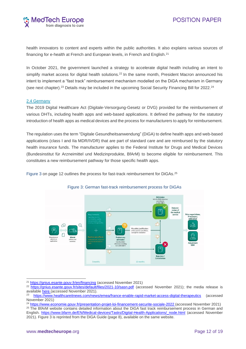

health innovators to content and experts within the public authorities. It also explains various sources of financing for e-health at French and European levels, in French and English.<sup>21</sup>

In October 2021, the government launched a strategy to accelerate digital health including an intent to simplify market access for digital health solutions.<sup>22</sup> In the same month, President Macron announced his intent to implement a "fast track" reimbursement mechanism modelled on the DiGA mechanism in Germany (see next chapter).<sup>23</sup> Details may be included in the upcoming Social Security Financing Bill for 2022.<sup>24</sup>

### <span id="page-12-0"></span>2.4 Germany

The 2019 Digital Healthcare Act (Digitale-Versorgung-Gesetz or DVG) provided for the reimbursement of various DHTs, including health apps and web-based applications. It defined the pathway for the statutory introduction of health apps as medical devices and the process for manufacturers to apply for reimbursement.

The regulation uses the term "Digitale Gesundheitsanwendung" (DiGA) to define health apps and web-based applications (class I and IIa MDR/IVDR) that are part of standard care and are reimbursed by the statutory health insurance funds. The manufacturer applies to the Federal Institute for Drugs and Medical Devices (Bundesinstitut für Arzneimittel und Medizinprodukte, BfArM) to become eligible for reimbursement. This constitutes a new reimbursement pathway for those specific health apps.

[Figure](#page-12-1) 3 on page [12](#page-12-1) outlines the process for fast-track reimbursement for DiGAs.<sup>25</sup>



### <span id="page-12-1"></span>Figure 3: German fast-track reimbursement process for DiGAs

<sup>&</sup>lt;sup>21</sup> <https://gnius.esante.gouv.fr/en/financing> (accessed November 2021)

<sup>&</sup>lt;sup>22</sup> <https://gnius.esante.gouv.fr/sites/default/files/2021-10/sasn.pdf> (accessed November 2021); the media release is available [here](https://gnius.esante.gouv.fr/sites/default/files/2021-10/Communiqu%C3%A9%20de%20presse%20-%20Lancement%20de%20la%20strat%C3%A9gie%20d%27acc%C3%A9l%C3%A9ration%20Sant%C3%A9%20Num%C3%A9rique.pdf) (accessed November 2021).

<sup>23</sup> <https://www.healthcareitnews.com/news/emea/france-enable-rapid-market-access-digital-therapeutics> (accessed November 2021)

<sup>&</sup>lt;sup>24</sup> <https://www.economie.gouv.fr/presentation-projet-loi-financement-securite-sociale-2022> (accessed November 2021) <sup>25</sup> The BfArM website contains detailed information about the DiGA fast track reimbursement process in German and English. [https://www.bfarm.de/EN/Medical-devices/Tasks/Digital-Health-Applications/\\_node.html](https://www.bfarm.de/EN/Medical-devices/Tasks/Digital-Health-Applications/_node.html) (accessed November

<sup>2021).</sup> Figure 3 is reprinted from the DiGA Guide (page 8), available on the same website.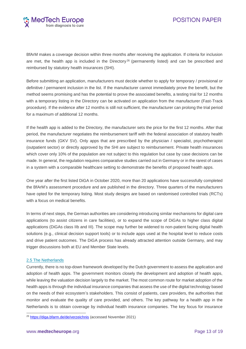

BfArM makes a coverage decision within three months after receiving the application. If criteria for inclusion are met, the health app is included in the Directory<sup>26</sup> (permanently listed) and can be prescribed and reimbursed by statutory health insurances (SHI).

Before submitting an application, manufacturers must decide whether to apply for temporary / provisional or definitive / permanent inclusion in the list. If the manufacturer cannot immediately prove the benefit, but the method seems promising and has the potential to prove the associated benefits, a testing trial for 12 months with a temporary listing in the Directory can be activated on application from the manufacturer (Fast-Track procedure). If the evidence after 12 months is still not sufficient, the manufacturer can prolong the trial period for a maximum of additional 12 months.

If the health app is added to the Directory, the manufacturer sets the price for the first 12 months. After that period, the manufacturer negotiates the reimbursement tariff with the federal association of statutory health insurance funds (GKV SV). Only apps that are prescribed by the physician / specialist, psychotherapist (outpatient sector) or directly approved by the SHI are subject to reimbursement. Private health insurances which cover only 10% of the population are not subject to this regulation but case by case decisions can be made. In general, the regulation requires comparative studies carried out in Germany or in the rarest of cases in a system with a comparable healthcare setting to demonstrate the benefits of proposed health apps.

One year after the first listed DiGA in October 2020, more than 20 applications have successfully completed the BfArM's assessment procedure and are published in the directory. Three quarters of the manufacturers have opted for the temporary listing. Most study designs are based on randomised controlled trials (RCTs) with a focus on medical benefits.

In terms of next steps, the German authorities are considering introducing similar mechanisms for digital care applications (to assist citizens in care facilities), or to expand the scope of DiGAs to higher class digital applications (DiGAs class IIb and III). The scope may further be widened to non-patient facing digital health solutions (e.g., clinical decision support tools) or to include apps used at the hospital level to reduce costs and drive patient outcomes. The DiGA process has already attracted attention outside Germany, and may trigger discussions both at EU and Member State levels.

### <span id="page-13-0"></span>2.5 The Netherlands

Currently, there is no top-down framework developed by the Dutch government to assess the application and adoption of health apps. The government monitors closely the development and adoption of health apps, while leaving the valuation decision largely to the market. The most common route for market adoption of the health apps is through the individual insurance companies that assess the use of the digital technology based on the needs of their ecosystem's stakeholders. This consist of patients, care providers, the authorities that monitor and evaluate the quality of care provided, and others. The key pathway for a health app in the Netherlands is to obtain coverage by individual health insurance companies. The key focus for insurance

<sup>26</sup> <https://diga.bfarm.de/de/verzeichnis> (accessed November 2021)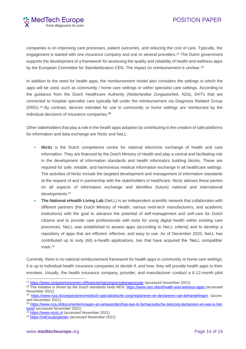

companies is on improving care processes, patient outcomes, and reducing the cost of care. Typically, the engagement is started with one insurance company and one or several providers.<sup>27</sup> The Dutch government supports the development of a framework for assessing the quality and reliability of health and wellness apps by the European Committee for Standardization CEN. The impact on reimbursement is unclear.<sup>28</sup>

In addition to the need for health apps, the reimbursement model also considers the settings in which the apps will be used, such as community / home care settings or within specialist care settings. According to the guidance from the Dutch Healthcare Authority (Nederlandse Zorgautoriteit, NZa), DHTs that are connected to hospital specialist care typically fall under the reimbursement via Diagnosis Related Group (DRG). <sup>29</sup> By contrast, devices intended for use in community or home settings are reimbursed by the individual decisions of insurance companies. 30

Other stakeholders that play a role in the health apps adoption by contributing to the creation of safe platforms for information and data exchange are Nictiz and NeLL:

- **Nictiz** is the Dutch competence centre for national electronic exchange of health and care information. They are financed by the Dutch Ministry of Health and play a central and facilitating role in the development of information standards and health informatics building blocks. These are required for safe, reliable, and harmonious medical information exchange in all healthcare settings. The activities of Nictiz include the targeted development and management of information standards at the request of and in partnership with the stakeholders in healthcare. Nictiz advises these parties on all aspects of information exchange and identifies (future) national and international developments.<sup>31</sup>
- **The National eHealth Living Lab** (NeLL) is an independent scientific network that collaborates with different partners (the Dutch Ministry of Health, various med-tech manufacturers, and academic institutions) with the goal to advance the potential of self-management and self-care for Dutch citizens and to provide care professionals with tools for using digital health within existing care processes. NeLL was established to assess apps (according to NeLL criteria) and to develop a repository of apps that are efficient, effective, and easy to use. As of December 2020, NeLL has contributed up to sixty (60) e-health applications, two that have acquired the 'NeLL compatible' mark. 32

Currently, there is no national reimbursement framework for health apps in community or home care settings; it is up to individual health insurance companies to decide if, and how, they will provide health apps to their enrolees. Usually, the health insurance company, provider, and manufacturer conduct a 6-12-month pilot

<sup>27</sup> <https://www.zorgvoorinnoveren.nl/financiering/zorgverzekeraarsroute> (accessed November 2021)

<sup>&</sup>lt;sup>28</sup> The initiative is driven by the Dutch standards body NEN.<https://www.nen.nl/en/health-and-welness-apps> (accessed November 2021)

<sup>29</sup> <https://www.nza.nl/zorgsectoren/medisch-specialistische-zorg/registreren-en-declareren-van-behandelingen> (accessed November 2021)

<sup>30</sup> [https://www.nza.nl/documenten/vragen-en-antwoorden/hoe-kan-ik-farmaceutische-telezorg-declareren-en-wat-is-het](https://www.nza.nl/documenten/vragen-en-antwoorden/hoe-kan-ik-farmaceutische-telezorg-declareren-en-wat-is-het-tarief)[tarief](https://www.nza.nl/documenten/vragen-en-antwoorden/hoe-kan-ik-farmaceutische-telezorg-declareren-en-wat-is-het-tarief) (accessed November 2021)

<sup>31</sup> [https://www.nictiz.nl](https://www.nictiz.nl/) (accessed November 2021).

<sup>32</sup> <https://nell.eu/projecten> (accessed November 2021)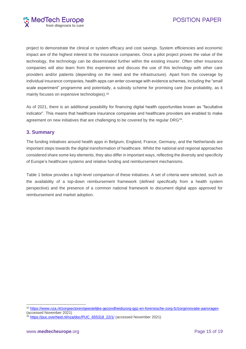

project to demonstrate the clinical or system efficacy and cost savings. System efficiencies and economic impact are of the highest interest to the insurance companies. Once a pilot project proves the value of the technology, the technology can be disseminated further within the existing insurer. Often other insurance companies will also learn from this experience and discuss the use of this technology with other care providers and/or patients (depending on the need and the infrastructure). Apart from the coverage by individual insurance companies, health apps can enter coverage with evidence schemes, including the "small scale experiment" programme and potentially, a subsidy scheme for promising care (low probability, as it mainly focuses on expensive technologies). 33

As of 2021, there is an additional possibility for financing digital health opportunities known as "facultative indicator". This means that healthcare insurance companies and healthcare providers are enabled to make agreement on new initiatives that are challenging to be covered by the regular DRG<sup>34</sup>.

### <span id="page-15-0"></span>**3. Summary**

The funding initiatives around health apps in Belgium, England, France, Germany, and the Netherlands are important steps towards the digital transformation of healthcare. Whilst the national and regional approaches considered share some key elements, they also differ in important ways, reflecting the diversity and specificity of Europe's healthcare systems and relative funding and reimbursement mechanisms.

Table 1 below provides a high-level comparison of these initiatives. A set of criteria were selected, such as the availability of a top-down reimbursement framework (defined specifically from a health system perspective) and the presence of a common national framework to document digital apps approved for reimbursement and market adoption.

<sup>33</sup> <https://www.nza.nl/zorgsectoren/geestelijke-gezondheidszorg-ggz-en-forensische-zorg-fz/zorginnovatie-aanvragen> (accessed November 2021)

<sup>&</sup>lt;sup>4</sup> [https://puc.overheid.nl/nza/doc/PUC\\_655318\\_22/1/](https://puc.overheid.nl/nza/doc/PUC_655318_22/1/) (accessed November 2021)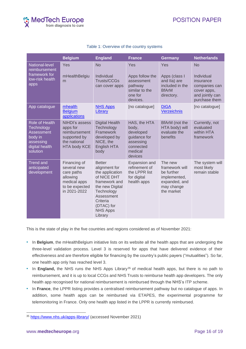

|                                                                                                         | <b>Belgium</b>                                                                                          | <b>England</b>                                                                                                                                                                           | <b>France</b>                                                                                      | <b>Germany</b>                                                                                       | <b>Netherlands</b>                                                                                       |
|---------------------------------------------------------------------------------------------------------|---------------------------------------------------------------------------------------------------------|------------------------------------------------------------------------------------------------------------------------------------------------------------------------------------------|----------------------------------------------------------------------------------------------------|------------------------------------------------------------------------------------------------------|----------------------------------------------------------------------------------------------------------|
| National-level<br>reimbursement<br>framework for<br>low-risk health<br>apps                             | Yes<br>mHealthBelgiu<br>m                                                                               | <b>No</b><br>Individual<br>Trusts/CCGs<br>can cover apps                                                                                                                                 | Yes<br>Apps follow the<br>assessment<br>pathway<br>similar to the<br>one for<br>devices.           | Yes<br>Apps (class I<br>and IIa) are<br>included in the<br><b>BfArM</b><br>directory.                | <b>No</b><br>Individual<br>insurance<br>companies can<br>cover apps,<br>and jointly can<br>purchase them |
| App catalogue                                                                                           | mhealth<br><b>Belgium</b><br>applications                                                               | <b>NHS Apps</b><br>Library                                                                                                                                                               | [no catalogue]                                                                                     | <b>DiGA</b><br>Verzeichnis                                                                           | [no catalogue]                                                                                           |
| Role of Health<br>Technology<br><b>Assessment</b><br>body in<br>assessing<br>digital health<br>solution | NIHDI's assess<br>apps for<br>reimbursement<br>supported by<br>the national<br><b>HTA body KCE</b>      | <b>Digital Health</b><br>Technology<br>Framework<br>developed by<br>NICE, the<br>English HTA<br>body                                                                                     | HAS, the HTA<br>body,<br>developed<br>guidance for<br>assessing<br>connected<br>medical<br>devices | BfArM (not the<br>HTA body) will<br>evaluate the<br>benefits                                         | Currently, not<br>evaluated<br>within HTA<br>framework                                                   |
| <b>Trend and</b><br>anticipated<br>development                                                          | Financing of<br>several new<br>care paths<br>allowing<br>medical apps<br>to be expected<br>in 2021-2022 | <b>Better</b><br>alignment for<br>the application<br>of NICE DHT<br>framework and<br>the new Digital<br>Technology<br>Assessment<br>Criteria<br>(DTAC) for<br><b>NHS Apps</b><br>Library | Expansion and<br>refinement of<br>the LPPR list<br>for digital<br>health apps                      | The new<br>framework will<br>be further<br>implemented,<br>expanded, and<br>may change<br>the market | The system will<br>most likely<br>remain stable                                                          |

### Table 1: Overview of the country systems

This is the state of play in the five countries and regions considered as of November 2021:

- In **Belgium**, the mHealthBelgium initiative lists on its website all the health apps that are undergoing the three-level validation process. Level 3 is reserved for apps that have delivered evidence of their effectiveness and are therefore eligible for financing by the country's public payers ("mutualities"). So far, one health app only has reached level 3.
- In **England**, the NHS runs the NHS Apps Library<sup>35</sup> of medical health apps, but there is no path to reimbursement, and it is up to local CCGs and NHS Trusts to reimburse health app developers. The only health app recognised for national reimbursement is reimbursed through the NHS's ITP scheme.
- In **France**, the LPPR listing provides a centralised reimbursement pathway but no catalogue of apps. In addition, some health apps can be reimbursed via ETAPES, the experimental programme for telemonitoring in France. Only one health app listed in the LPPR is currently reimbursed.

<sup>35</sup> <https://www.nhs.uk/apps-library/> (accessed November 2021)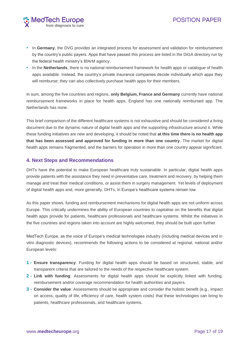

- In **Germany**, the DVG provides an integrated process for assessment and validation for reimbursement by the country's public payers. Apps that have passed this process are listed in the DiGA directory run by the federal health ministry's BfArM agency.
- In the **Netherlands**, there is no national reimbursement framework for health apps or catalogue of health apps available. Instead, the country's private insurance companies decide individually which apps they will reimburse; they can also collectively purchase health apps for their members.

In sum, among the five countries and regions, **only Belgium, France and Germany** currently have national reimbursement frameworks in place for health apps. England has one nationally reimbursed app. The Netherlands has none.

This brief comparison of the different healthcare systems is not exhaustive and should be considered a living document due to the dynamic nature of digital health apps and the supporting infrastructure around it. While these funding initiatives are new and developing, it should be noted that **at this time there is no health app that has been assessed and approved for funding in more than one country**. The market for digital health apps remains fragmented, and the barriers for operation in more than one country appear significant.

### <span id="page-17-0"></span>**4. Next Steps and Recommendations**

DHTs have the potential to make European healthcare truly sustainable. In particular, digital health apps provide patients with the assistance they need in preventative care, treatment and recovery, by helping them manage and treat their medical conditions, or assist them in surgery management. Yet levels of deployment of digital health apps and, more generally, DHTs, in Europe's healthcare systems remain low.

As this paper shows, funding and reimbursement mechanisms for digital health apps are not uniform across Europe. This critically undermines the ability of European countries to capitalise on the benefits that digital health apps provide for patients, healthcare professionals and healthcare systems. Whilst the initiatives in the five countries and regions taken into account are highly welcomed, they should be built upon further.

MedTech Europe, as the voice of Europe's medical technologies industry (including medical devices and in vitro diagnostic devices), recommends the following actions to be considered at regional, national and/or European levels:

- **1 - Ensure transparency**: Funding for digital health apps should be based on structured, stable, and transparent criteria that are tailored to the needs of the respective healthcare system.
- **2 - Link with funding**: Assessments for digital health apps should be explicitly linked with funding, reimbursement and/or coverage recommendation for health authorities and payers.
- **3 - Consider the value**: Assessments should be appropriate and consider the holistic benefit (e.g., impact on access, quality of life, efficiency of care, health system costs) that these technologies can bring to patients, healthcare professionals, and healthcare systems.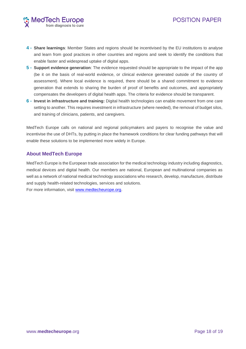

- **4 - Share learnings**: Member States and regions should be incentivised by the EU institutions to analyse and learn from good practices in other countries and regions and seek to identify the conditions that enable faster and widespread uptake of digital apps.
- **5 - Support evidence generation**: The evidence requested should be appropriate to the impact of the app (be it on the basis of real-world evidence, or clinical evidence generated outside of the country of assessment). Where local evidence is required, there should be a shared commitment to evidence generation that extends to sharing the burden of proof of benefits and outcomes, and appropriately compensates the developers of digital health apps. The criteria for evidence should be transparent.
- **6 - Invest in infrastructure and training:** Digital health technologies can enable movement from one care setting to another. This requires investment in infrastructure (where needed), the removal of budget silos, and training of clinicians, patients, and caregivers.

MedTech Europe calls on national and regional policymakers and payers to recognise the value and incentivise the use of DHTs, by putting in place the framework conditions for clear funding pathways that will enable these solutions to be implemented more widely in Europe.

### <span id="page-18-0"></span>**About MedTech Europe**

MedTech Europe is the European trade association for the medical technology industry including diagnostics, medical devices and digital health. Our members are national, European and multinational companies as well as a network of national medical technology associations who research, develop, manufacture, distribute and supply health-related technologies, services and solutions. For more information, visit [www.medtecheurope.org.](http://www.medtecheurope.org/)